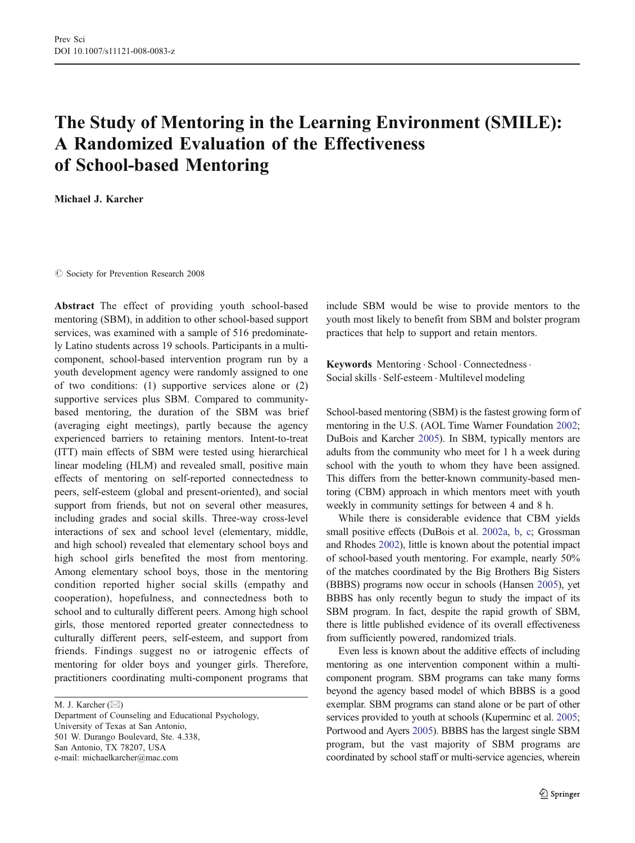# The Study of Mentoring in the Learning Environment (SMILE): A Randomized Evaluation of the Effectiveness of School-based Mentoring

Michael J. Karcher

 $\oslash$  Society for Prevention Research 2008

Abstract The effect of providing youth school-based mentoring (SBM), in addition to other school-based support services, was examined with a sample of 516 predominately Latino students across 19 schools. Participants in a multicomponent, school-based intervention program run by a youth development agency were randomly assigned to one of two conditions: (1) supportive services alone or (2) supportive services plus SBM. Compared to communitybased mentoring, the duration of the SBM was brief (averaging eight meetings), partly because the agency experienced barriers to retaining mentors. Intent-to-treat (ITT) main effects of SBM were tested using hierarchical linear modeling (HLM) and revealed small, positive main effects of mentoring on self-reported connectedness to peers, self-esteem (global and present-oriented), and social support from friends, but not on several other measures, including grades and social skills. Three-way cross-level interactions of sex and school level (elementary, middle, and high school) revealed that elementary school boys and high school girls benefited the most from mentoring. Among elementary school boys, those in the mentoring condition reported higher social skills (empathy and cooperation), hopefulness, and connectedness both to school and to culturally different peers. Among high school girls, those mentored reported greater connectedness to culturally different peers, self-esteem, and support from friends. Findings suggest no or iatrogenic effects of mentoring for older boys and younger girls. Therefore, practitioners coordinating multi-component programs that

M. J. Karcher (*\**)

Department of Counseling and Educational Psychology, University of Texas at San Antonio, 501 W. Durango Boulevard, Ste. 4.338, San Antonio, TX 78207, USA e-mail: michaelkarcher@mac.com

include SBM would be wise to provide mentors to the youth most likely to benefit from SBM and bolster program practices that help to support and retain mentors.

Keywords Mentoring . School . Connectedness . Social skills · Self-esteem · Multilevel modeling

School-based mentoring (SBM) is the fastest growing form of mentoring in the U.S. (AOL Time Warner Foundation [2002;](#page-13-0) DuBois and Karcher [2005](#page-13-0)). In SBM, typically mentors are adults from the community who meet for 1 h a week during school with the youth to whom they have been assigned. This differs from the better-known community-based mentoring (CBM) approach in which mentors meet with youth weekly in community settings for between 4 and 8 h.

While there is considerable evidence that CBM yields small positive effects (DuBois et al. [2002a](#page-13-0), [b,](#page-13-0) [c](#page-13-0); Grossman and Rhodes [2002\)](#page-13-0), little is known about the potential impact of school-based youth mentoring. For example, nearly 50% of the matches coordinated by the Big Brothers Big Sisters (BBBS) programs now occur in schools (Hansen [2005\)](#page-13-0), yet BBBS has only recently begun to study the impact of its SBM program. In fact, despite the rapid growth of SBM, there is little published evidence of its overall effectiveness from sufficiently powered, randomized trials.

Even less is known about the additive effects of including mentoring as one intervention component within a multicomponent program. SBM programs can take many forms beyond the agency based model of which BBBS is a good exemplar. SBM programs can stand alone or be part of other services provided to youth at schools (Kuperminc et al. [2005;](#page-14-0) Portwood and Ayers [2005](#page-14-0)). BBBS has the largest single SBM program, but the vast majority of SBM programs are coordinated by school staff or multi-service agencies, wherein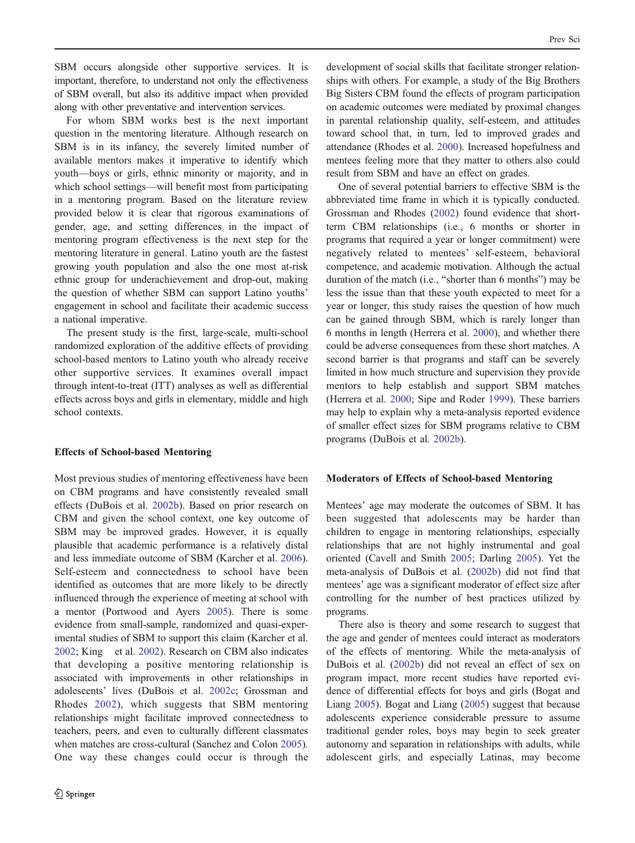SBM occurs alongside other supportive services. It is important, therefore, to understand not only the effectiveness of SBM overall, but also its additive impact when provided along with other preventative and intervention services.

For whom SBM works best is the next important question in the mentoring literature. Although research on SBM is in its infancy, the severely limited number of available mentors makes it imperative to identify which youth—boys or girls, ethnic minority or majority, and in which school settings—will benefit most from participating in a mentoring program. Based on the literature review provided below it is clear that rigorous examinations of gender, age, and setting differences in the impact of mentoring program effectiveness is the next step for the mentoring literature in general. Latino youth are the fastest growing youth population and also the one most at-risk ethnic group for underachievement and drop-out, making the question of whether SBM can support Latino youths' engagement in school and facilitate their academic success a national imperative.

The present study is the first, large-scale, multi-school randomized exploration of the additive effects of providing school-based mentors to Latino youth who already receive other supportive services. It examines overall impact through intent-to-treat (ITT) analyses as well as differential effects across boys and girls in elementary, middle and high school contexts.

## Effects of School-based Mentoring

Most previous studies of mentoring effectiveness have been on CBM programs and have consistently revealed small effects (DuBois et al. [2002b\)](#page-13-0). Based on prior research on CBM and given the school context, one key outcome of SBM may be improved grades. However, it is equally plausible that academic performance is a relatively distal and less immediate outcome of SBM (Karcher et al. [2006](#page-14-0)). Self-esteem and connectedness to school have been identified as outcomes that are more likely to be directly influenced through the experience of meeting at school with a mentor (Portwood and Ayers [2005\)](#page-14-0). There is some evidence from small-sample, randomized and quasi-experimental studies of SBM to support this claim (Karcher et al. [2002](#page-14-0); King et al. [2002\)](#page-14-0). Research on CBM also indicates that developing a positive mentoring relationship is associated with improvements in other relationships in adolescents' lives (DuBois et al. [2002c;](#page-13-0) Grossman and Rhodes [2002\)](#page-13-0), which suggests that SBM mentoring relationships might facilitate improved connectedness to teachers, peers, and even to culturally different classmates when matches are cross-cultural (Sanchez and Colon [2005](#page-14-0)). One way these changes could occur is through the

development of social skills that facilitate stronger relationships with others. For example, a study of the Big Brothers Big Sisters CBM found the effects of program participation on academic outcomes were mediated by proximal changes in parental relationship quality, self-esteem, and attitudes toward school that, in turn, led to improved grades and attendance (Rhodes et al. [2000](#page-14-0)). Increased hopefulness and mentees feeling more that they matter to others also could result from SBM and have an effect on grades.

One of several potential barriers to effective SBM is the abbreviated time frame in which it is typically conducted. Grossman and Rhodes [\(2002](#page-13-0)) found evidence that shortterm CBM relationships (i.e., 6 months or shorter in programs that required a year or longer commitment) were negatively related to mentees' self-esteem, behavioral competence, and academic motivation. Although the actual duration of the match (i.e., "shorter than 6 months") may be less the issue than that these youth expected to meet for a year or longer, this study raises the question of how much can be gained through SBM, which is rarely longer than 6 months in length (Herrera et al. [2000\)](#page-13-0), and whether there could be adverse consequences from these short matches. A second barrier is that programs and staff can be severely limited in how much structure and supervision they provide mentors to help establish and support SBM matches (Herrera et al. [2000;](#page-13-0) Sipe and Roder [1999](#page-14-0)). These barriers may help to explain why a meta-analysis reported evidence of smaller effect sizes for SBM programs relative to CBM programs (DuBois et al. [2002b\)](#page-13-0).

#### Moderators of Effects of School-based Mentoring

Mentees' age may moderate the outcomes of SBM. It has been suggested that adolescents may be harder than children to engage in mentoring relationships, especially relationships that are not highly instrumental and goal oriented (Cavell and Smith [2005;](#page-13-0) Darling [2005](#page-13-0)). Yet the meta-analysis of DuBois et al. ([2002b\)](#page-13-0) did not find that mentees' age was a significant moderator of effect size after controlling for the number of best practices utilized by programs.

There also is theory and some research to suggest that the age and gender of mentees could interact as moderators of the effects of mentoring. While the meta-analysis of DuBois et al. [\(2002b](#page-13-0)) did not reveal an effect of sex on program impact, more recent studies have reported evidence of differential effects for boys and girls (Bogat and Liang [2005](#page-13-0)). Bogat and Liang ([2005](#page-13-0)) suggest that because adolescents experience considerable pressure to assume traditional gender roles, boys may begin to seek greater autonomy and separation in relationships with adults, while adolescent girls, and especially Latinas, may become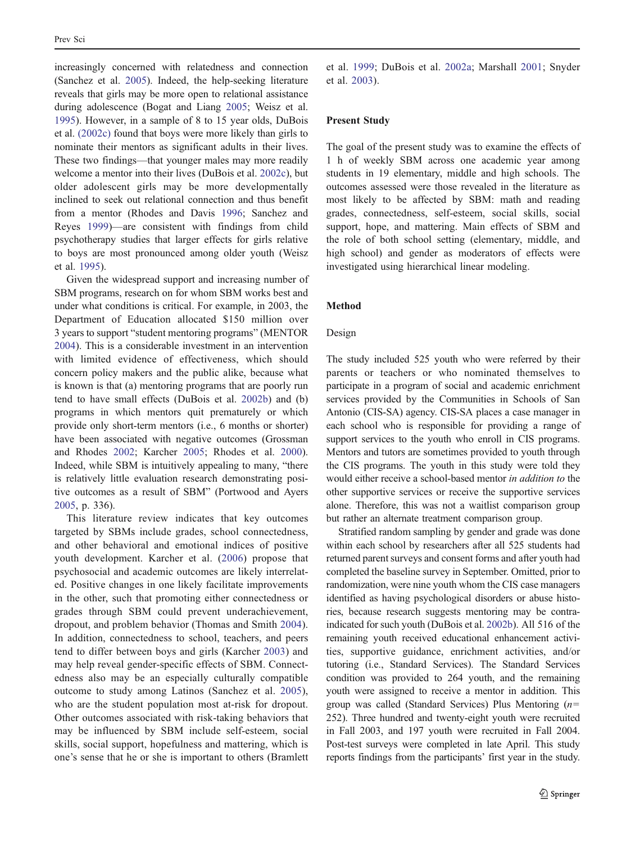increasingly concerned with relatedness and connection (Sanchez et al. [2005\)](#page-14-0). Indeed, the help-seeking literature reveals that girls may be more open to relational assistance during adolescence (Bogat and Liang [2005](#page-13-0); Weisz et al. [1995](#page-14-0)). However, in a sample of 8 to 15 year olds, DuBois et al. [\(2002c\)](#page-13-0) found that boys were more likely than girls to nominate their mentors as significant adults in their lives. These two findings—that younger males may more readily welcome a mentor into their lives (DuBois et al. [2002c](#page-13-0)), but older adolescent girls may be more developmentally inclined to seek out relational connection and thus benefit from a mentor (Rhodes and Davis [1996;](#page-14-0) Sanchez and Reyes [1999](#page-14-0))—are consistent with findings from child psychotherapy studies that larger effects for girls relative to boys are most pronounced among older youth (Weisz et al. [1995](#page-14-0)).

Given the widespread support and increasing number of SBM programs, research on for whom SBM works best and under what conditions is critical. For example, in 2003, the Department of Education allocated \$150 million over 3 years to support "student mentoring programs" (MENTOR [2004](#page-14-0)). This is a considerable investment in an intervention with limited evidence of effectiveness, which should concern policy makers and the public alike, because what is known is that (a) mentoring programs that are poorly run tend to have small effects (DuBois et al. [2002b\)](#page-13-0) and (b) programs in which mentors quit prematurely or which provide only short-term mentors (i.e., 6 months or shorter) have been associated with negative outcomes (Grossman and Rhodes [2002](#page-13-0); Karcher [2005;](#page-14-0) Rhodes et al. [2000](#page-14-0)). Indeed, while SBM is intuitively appealing to many, "there is relatively little evaluation research demonstrating positive outcomes as a result of SBM" (Portwood and Ayers [2005](#page-14-0), p. 336).

This literature review indicates that key outcomes targeted by SBMs include grades, school connectedness, and other behavioral and emotional indices of positive youth development. Karcher et al. ([2006](#page-14-0)) propose that psychosocial and academic outcomes are likely interrelated. Positive changes in one likely facilitate improvements in the other, such that promoting either connectedness or grades through SBM could prevent underachievement, dropout, and problem behavior (Thomas and Smith [2004](#page-14-0)). In addition, connectedness to school, teachers, and peers tend to differ between boys and girls (Karcher [2003\)](#page-14-0) and may help reveal gender-specific effects of SBM. Connectedness also may be an especially culturally compatible outcome to study among Latinos (Sanchez et al. [2005](#page-14-0)), who are the student population most at-risk for dropout. Other outcomes associated with risk-taking behaviors that may be influenced by SBM include self-esteem, social skills, social support, hopefulness and mattering, which is one's sense that he or she is important to others (Bramlett et al. [1999](#page-13-0); DuBois et al. [2002a](#page-13-0); Marshall [2001](#page-14-0); Snyder et al. [2003](#page-14-0)).

# Present Study

The goal of the present study was to examine the effects of 1 h of weekly SBM across one academic year among students in 19 elementary, middle and high schools. The outcomes assessed were those revealed in the literature as most likely to be affected by SBM: math and reading grades, connectedness, self-esteem, social skills, social support, hope, and mattering. Main effects of SBM and the role of both school setting (elementary, middle, and high school) and gender as moderators of effects were investigated using hierarchical linear modeling.

#### Method

#### Design

The study included 525 youth who were referred by their parents or teachers or who nominated themselves to participate in a program of social and academic enrichment services provided by the Communities in Schools of San Antonio (CIS-SA) agency. CIS-SA places a case manager in each school who is responsible for providing a range of support services to the youth who enroll in CIS programs. Mentors and tutors are sometimes provided to youth through the CIS programs. The youth in this study were told they would either receive a school-based mentor in addition to the other supportive services or receive the supportive services alone. Therefore, this was not a waitlist comparison group but rather an alternate treatment comparison group.

Stratified random sampling by gender and grade was done within each school by researchers after all 525 students had returned parent surveys and consent forms and after youth had completed the baseline survey in September. Omitted, prior to randomization, were nine youth whom the CIS case managers identified as having psychological disorders or abuse histories, because research suggests mentoring may be contraindicated for such youth (DuBois et al. [2002b](#page-13-0)). All 516 of the remaining youth received educational enhancement activities, supportive guidance, enrichment activities, and/or tutoring (i.e., Standard Services). The Standard Services condition was provided to 264 youth, and the remaining youth were assigned to receive a mentor in addition. This group was called (Standard Services) Plus Mentoring  $(n=$ 252). Three hundred and twenty-eight youth were recruited in Fall 2003, and 197 youth were recruited in Fall 2004. Post-test surveys were completed in late April. This study reports findings from the participants' first year in the study.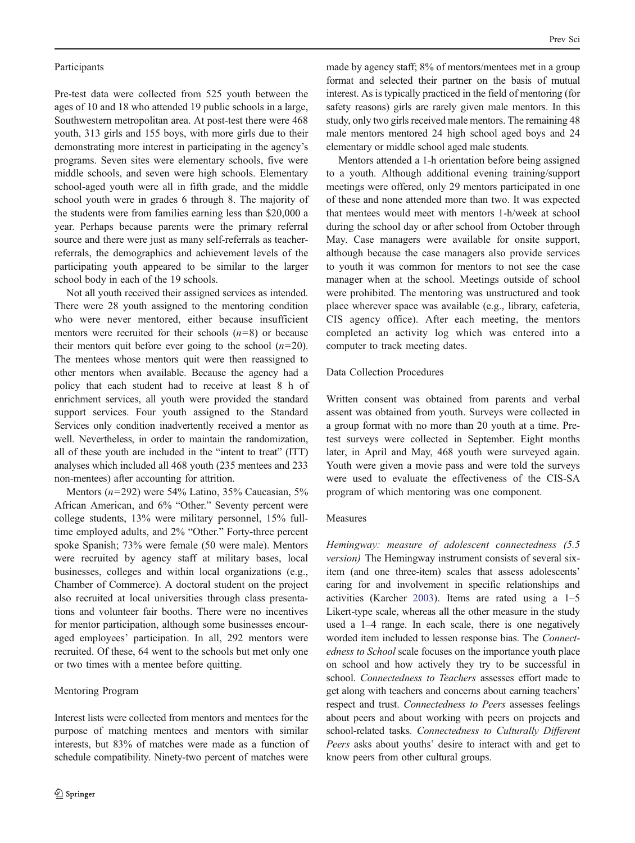#### **Participants**

Pre-test data were collected from 525 youth between the ages of 10 and 18 who attended 19 public schools in a large, Southwestern metropolitan area. At post-test there were 468 youth, 313 girls and 155 boys, with more girls due to their demonstrating more interest in participating in the agency's programs. Seven sites were elementary schools, five were middle schools, and seven were high schools. Elementary school-aged youth were all in fifth grade, and the middle school youth were in grades 6 through 8. The majority of the students were from families earning less than \$20,000 a year. Perhaps because parents were the primary referral source and there were just as many self-referrals as teacherreferrals, the demographics and achievement levels of the participating youth appeared to be similar to the larger school body in each of the 19 schools.

Not all youth received their assigned services as intended. There were 28 youth assigned to the mentoring condition who were never mentored, either because insufficient mentors were recruited for their schools  $(n=8)$  or because their mentors quit before ever going to the school  $(n=20)$ . The mentees whose mentors quit were then reassigned to other mentors when available. Because the agency had a policy that each student had to receive at least 8 h of enrichment services, all youth were provided the standard support services. Four youth assigned to the Standard Services only condition inadvertently received a mentor as well. Nevertheless, in order to maintain the randomization, all of these youth are included in the "intent to treat" (ITT) analyses which included all 468 youth (235 mentees and 233 non-mentees) after accounting for attrition.

Mentors ( $n=292$ ) were 54% Latino, 35% Caucasian, 5% African American, and 6% "Other." Seventy percent were college students, 13% were military personnel, 15% fulltime employed adults, and 2% "Other." Forty-three percent spoke Spanish; 73% were female (50 were male). Mentors were recruited by agency staff at military bases, local businesses, colleges and within local organizations (e.g., Chamber of Commerce). A doctoral student on the project also recruited at local universities through class presentations and volunteer fair booths. There were no incentives for mentor participation, although some businesses encouraged employees' participation. In all, 292 mentors were recruited. Of these, 64 went to the schools but met only one or two times with a mentee before quitting.

# Mentoring Program

Interest lists were collected from mentors and mentees for the purpose of matching mentees and mentors with similar interests, but 83% of matches were made as a function of schedule compatibility. Ninety-two percent of matches were

made by agency staff; 8% of mentors/mentees met in a group format and selected their partner on the basis of mutual interest. As is typically practiced in the field of mentoring (for safety reasons) girls are rarely given male mentors. In this study, only two girls received male mentors. The remaining 48 male mentors mentored 24 high school aged boys and 24 elementary or middle school aged male students.

Mentors attended a 1-h orientation before being assigned to a youth. Although additional evening training/support meetings were offered, only 29 mentors participated in one of these and none attended more than two. It was expected that mentees would meet with mentors 1-h/week at school during the school day or after school from October through May. Case managers were available for onsite support, although because the case managers also provide services to youth it was common for mentors to not see the case manager when at the school. Meetings outside of school were prohibited. The mentoring was unstructured and took place wherever space was available (e.g., library, cafeteria, CIS agency office). After each meeting, the mentors completed an activity log which was entered into a computer to track meeting dates.

## Data Collection Procedures

Written consent was obtained from parents and verbal assent was obtained from youth. Surveys were collected in a group format with no more than 20 youth at a time. Pretest surveys were collected in September. Eight months later, in April and May, 468 youth were surveyed again. Youth were given a movie pass and were told the surveys were used to evaluate the effectiveness of the CIS-SA program of which mentoring was one component.

### Measures

Hemingway: measure of adolescent connectedness (5.5 version) The Hemingway instrument consists of several sixitem (and one three-item) scales that assess adolescents' caring for and involvement in specific relationships and activities (Karcher [2003](#page-14-0)). Items are rated using a 1–5 Likert-type scale, whereas all the other measure in the study used a 1–4 range. In each scale, there is one negatively worded item included to lessen response bias. The Connectedness to School scale focuses on the importance youth place on school and how actively they try to be successful in school. Connectedness to Teachers assesses effort made to get along with teachers and concerns about earning teachers' respect and trust. Connectedness to Peers assesses feelings about peers and about working with peers on projects and school-related tasks. Connectedness to Culturally Different Peers asks about youths' desire to interact with and get to know peers from other cultural groups.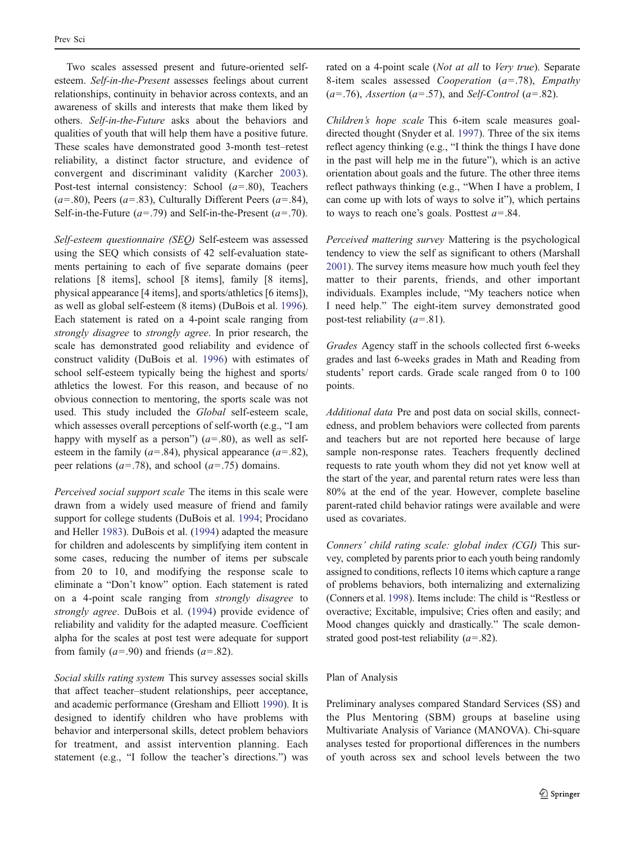Two scales assessed present and future-oriented selfesteem. Self-in-the-Present assesses feelings about current relationships, continuity in behavior across contexts, and an awareness of skills and interests that make them liked by others. Self-in-the-Future asks about the behaviors and qualities of youth that will help them have a positive future. These scales have demonstrated good 3-month test–retest reliability, a distinct factor structure, and evidence of convergent and discriminant validity (Karcher [2003](#page-14-0)). Post-test internal consistency: School  $(a=.80)$ , Teachers  $(a=.80)$ , Peers  $(a=.83)$ , Culturally Different Peers  $(a=.84)$ , Self-in-the-Future ( $a = .79$ ) and Self-in-the-Present ( $a = .70$ ).

Self-esteem questionnaire (SEQ) Self-esteem was assessed using the SEQ which consists of 42 self-evaluation statements pertaining to each of five separate domains (peer relations [8 items], school [8 items], family [8 items], physical appearance [4 items], and sports/athletics [6 items]), as well as global self-esteem (8 items) (DuBois et al. [1996](#page-13-0)). Each statement is rated on a 4-point scale ranging from strongly disagree to strongly agree. In prior research, the scale has demonstrated good reliability and evidence of construct validity (DuBois et al. [1996](#page-13-0)) with estimates of school self-esteem typically being the highest and sports/ athletics the lowest. For this reason, and because of no obvious connection to mentoring, the sports scale was not used. This study included the *Global* self-esteem scale, which assesses overall perceptions of self-worth (e.g., "I am happy with myself as a person")  $(a=.80)$ , as well as selfesteem in the family ( $a = .84$ ), physical appearance ( $a = .82$ ), peer relations ( $a = .78$ ), and school ( $a = .75$ ) domains.

Perceived social support scale The items in this scale were drawn from a widely used measure of friend and family support for college students (DuBois et al. [1994](#page-13-0); Procidano and Heller [1983](#page-14-0)). DuBois et al. [\(1994](#page-13-0)) adapted the measure for children and adolescents by simplifying item content in some cases, reducing the number of items per subscale from 20 to 10, and modifying the response scale to eliminate a "Don't know" option. Each statement is rated on a 4-point scale ranging from strongly disagree to strongly agree. DuBois et al. ([1994](#page-13-0)) provide evidence of reliability and validity for the adapted measure. Coefficient alpha for the scales at post test were adequate for support from family  $(a=0.90)$  and friends  $(a=.82)$ .

Social skills rating system This survey assesses social skills that affect teacher–student relationships, peer acceptance, and academic performance (Gresham and Elliott [1990\)](#page-13-0). It is designed to identify children who have problems with behavior and interpersonal skills, detect problem behaviors for treatment, and assist intervention planning. Each statement (e.g., "I follow the teacher's directions.") was rated on a 4-point scale (*Not at all to Very true*). Separate 8-item scales assessed Cooperation  $(a=.78)$ , Empathy  $(a=.76)$ , Assertion  $(a=.57)$ , and Self-Control  $(a=.82)$ .

Children's hope scale This 6-item scale measures goaldirected thought (Snyder et al. [1997](#page-14-0)). Three of the six items reflect agency thinking (e.g., "I think the things I have done in the past will help me in the future"), which is an active orientation about goals and the future. The other three items reflect pathways thinking (e.g., "When I have a problem, I can come up with lots of ways to solve it"), which pertains to ways to reach one's goals. Posttest  $a = .84$ .

Perceived mattering survey Mattering is the psychological tendency to view the self as significant to others (Marshall [2001](#page-14-0)). The survey items measure how much youth feel they matter to their parents, friends, and other important individuals. Examples include, "My teachers notice when I need help." The eight-item survey demonstrated good post-test reliability  $(a=81)$ .

Grades Agency staff in the schools collected first 6-weeks grades and last 6-weeks grades in Math and Reading from students' report cards. Grade scale ranged from 0 to 100 points.

Additional data Pre and post data on social skills, connectedness, and problem behaviors were collected from parents and teachers but are not reported here because of large sample non-response rates. Teachers frequently declined requests to rate youth whom they did not yet know well at the start of the year, and parental return rates were less than 80% at the end of the year. However, complete baseline parent-rated child behavior ratings were available and were used as covariates.

Conners' child rating scale: global index (CGI) This survey, completed by parents prior to each youth being randomly assigned to conditions, reflects 10 items which capture a range of problems behaviors, both internalizing and externalizing (Conners et al. [1998](#page-13-0)). Items include: The child is "Restless or overactive; Excitable, impulsive; Cries often and easily; and Mood changes quickly and drastically." The scale demonstrated good post-test reliability  $(a=.82)$ .

#### Plan of Analysis

Preliminary analyses compared Standard Services (SS) and the Plus Mentoring (SBM) groups at baseline using Multivariate Analysis of Variance (MANOVA). Chi-square analyses tested for proportional differences in the numbers of youth across sex and school levels between the two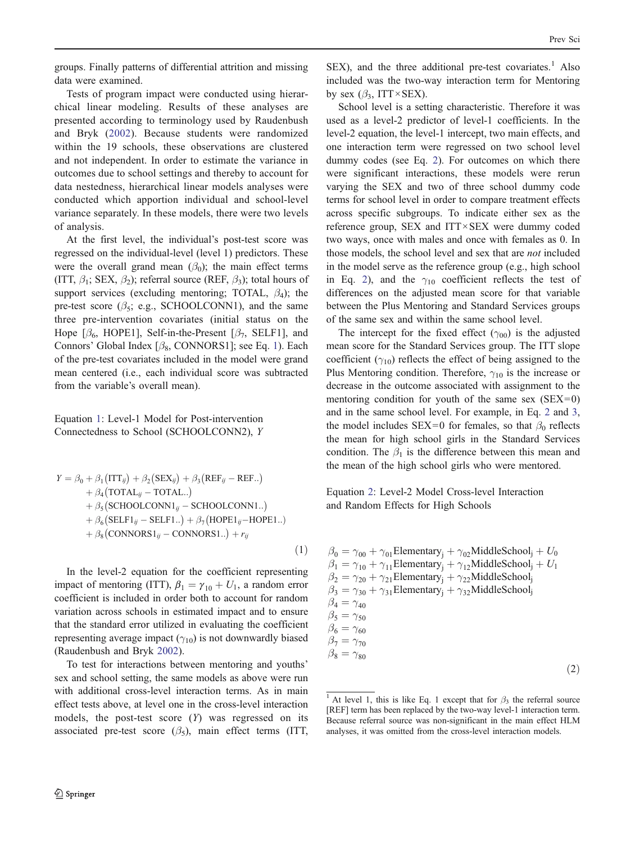<span id="page-5-0"></span>groups. Finally patterns of differential attrition and missing data were examined.

Tests of program impact were conducted using hierarchical linear modeling. Results of these analyses are presented according to terminology used by Raudenbush and Bryk [\(2002\)](#page-14-0). Because students were randomized within the 19 schools, these observations are clustered and not independent. In order to estimate the variance in outcomes due to school settings and thereby to account for data nestedness, hierarchical linear models analyses were conducted which apportion individual and school-level variance separately. In these models, there were two levels of analysis.

At the first level, the individual's post-test score was regressed on the individual-level (level 1) predictors. These were the overall grand mean  $(\beta_0)$ ; the main effect terms (ITT,  $\beta_1$ ; SEX,  $\beta_2$ ); referral source (REF,  $\beta_3$ ); total hours of support services (excluding mentoring; TOTAL,  $\beta_4$ ); the pre-test score ( $\beta$ <sub>5</sub>; e.g., SCHOOLCONN1), and the same three pre-intervention covariates (initial status on the Hope [ $\beta_6$ , HOPE1], Self-in-the-Present [ $\beta_7$ , SELF1], and Connors' Global Index  $[\beta_8]$ , CONNORS1]; see Eq. 1). Each of the pre-test covariates included in the model were grand mean centered (i.e., each individual score was subtracted from the variable's overall mean).

Equation 1: Level-1 Model for Post-intervention Connectedness to School (SCHOOLCONN2), Y

$$
Y = \beta_0 + \beta_1 (\text{ITT}_{ij}) + \beta_2 (\text{SEX}_{ij}) + \beta_3 (\text{REF}_{ij} - \text{REF}..)
$$
  
+  $\beta_4 (\text{TOTAL}_{ij} - \text{TOTAL}..)$   
+  $\beta_5 (\text{SCHOOLCONN1}_{ij} - \text{SCHOOLCONN1}..)$   
+  $\beta_6 (\text{SELF1}_{ij} - \text{SELF1}..) + \beta_7 (\text{HOPE1}_{ij} - \text{HOPE1}..)$   
+  $\beta_8 (\text{CONNORS1}_{ij} - \text{CONNORS1}..) + r_{ij}$  (1)

In the level-2 equation for the coefficient representing impact of mentoring (ITT),  $\beta_1 = \gamma_{10} + U_1$ , a random error coefficient is included in order both to account for random variation across schools in estimated impact and to ensure that the standard error utilized in evaluating the coefficient representing average impact  $(\gamma_{10})$  is not downwardly biased (Raudenbush and Bryk [2002](#page-14-0)).

To test for interactions between mentoring and youths' sex and school setting, the same models as above were run with additional cross-level interaction terms. As in main effect tests above, at level one in the cross-level interaction models, the post-test score (Y) was regressed on its associated pre-test score  $(\beta_5)$ , main effect terms (ITT, SEX), and the three additional pre-test covariates.<sup>1</sup> Also included was the two-way interaction term for Mentoring by sex  $(\beta_3, \text{ITT} \times \text{SEX})$ .

School level is a setting characteristic. Therefore it was used as a level-2 predictor of level-1 coefficients. In the level-2 equation, the level-1 intercept, two main effects, and one interaction term were regressed on two school level dummy codes (see Eq. 2). For outcomes on which there were significant interactions, these models were rerun varying the SEX and two of three school dummy code terms for school level in order to compare treatment effects across specific subgroups. To indicate either sex as the reference group, SEX and ITT×SEX were dummy coded two ways, once with males and once with females as 0. In those models, the school level and sex that are not included in the model serve as the reference group (e.g., high school in Eq. 2), and the  $\gamma_{10}$  coefficient reflects the test of differences on the adjusted mean score for that variable between the Plus Mentoring and Standard Services groups of the same sex and within the same school level.

The intercept for the fixed effect  $(\gamma_{00})$  is the adjusted mean score for the Standard Services group. The ITT slope coefficient  $(\gamma_{10})$  reflects the effect of being assigned to the Plus Mentoring condition. Therefore,  $\gamma_{10}$  is the increase or decrease in the outcome associated with assignment to the mentoring condition for youth of the same sex  $(SEX=0)$ and in the same school level. For example, in Eq. 2 and [3,](#page-6-0) the model includes SEX=0 for females, so that  $\beta_0$  reflects the mean for high school girls in the Standard Services condition. The  $\beta_1$  is the difference between this mean and the mean of the high school girls who were mentored.

Equation 2: Level-2 Model Cross-level Interaction and Random Effects for High Schools

$$
\beta_0 = \gamma_{00} + \gamma_{01} \text{Elementary}_j + \gamma_{02} \text{Midde School}_j + U_0 \n\beta_1 = \gamma_{10} + \gamma_{11} \text{Elementary}_j + \gamma_{12} \text{Midde School}_j + U_1 \n\beta_2 = \gamma_{20} + \gamma_{21} \text{Elementary}_j + \gamma_{22} \text{Midde School}_j \n\beta_3 = \gamma_{30} + \gamma_{31} \text{Elementary}_j + \gamma_{32} \text{Midde School}_j \n\beta_4 = \gamma_{40} \n\beta_5 = \gamma_{50} \n\beta_6 = \gamma_{60} \n\beta_7 = \gamma_{70} \n\beta_8 = \gamma_{80}
$$
\n(2)

<sup>&</sup>lt;sup>1</sup> At level 1, this is like Eq. 1 except that for  $\beta_3$  the referral source [REF] term has been replaced by the two-way level-1 interaction term. Because referral source was non-significant in the main effect HLM analyses, it was omitted from the cross-level interaction models.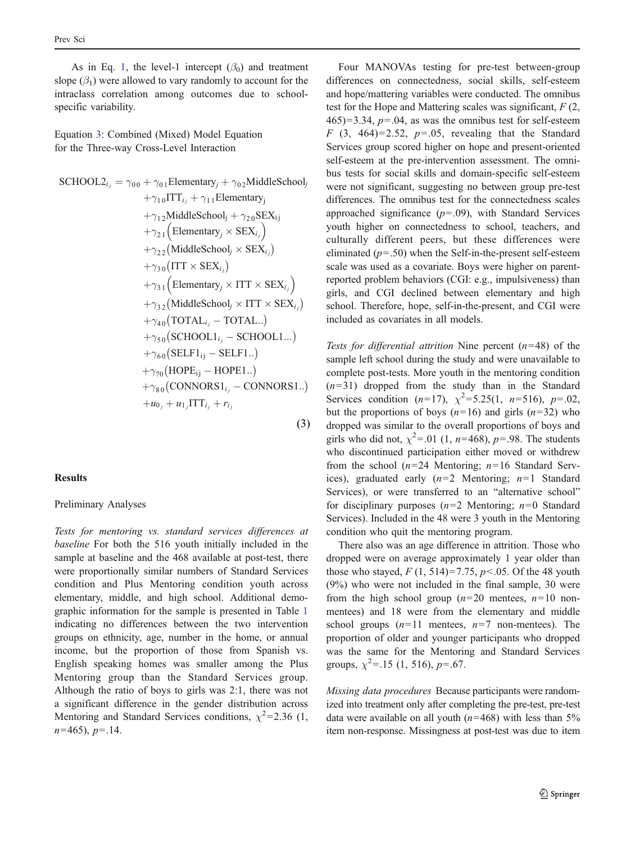<span id="page-6-0"></span>As in Eq. [1](#page-5-0), the level-1 intercept  $(\beta_0)$  and treatment slope  $(\beta_1)$  were allowed to vary randomly to account for the intraclass correlation among outcomes due to schoolspecific variability.

Equation 3: Combined (Mixed) Model Equation for the Three-way Cross-Level Interaction

SCHOOL2<sub>i<sub>j</sub></sub> = 
$$
\gamma_{00} + \gamma_{01}
$$
Elementary<sub>j</sub> +  $\gamma_{02}$ MiddleSchool<sub>j</sub>  
+  $\gamma_{10}$ ITT<sub>i<sub>j</sub></sub> +  $\gamma_{11}$ Elementary<sub>j</sub>  
+  $\gamma_{12}$ Middle School<sub>j</sub> +  $\gamma_{20}$  SEX<sub>i<sub>j</sub></sub>  
+  $\gamma_{21}$  (Elementary<sub>j</sub> × SEX<sub>i<sub>j</sub></sub>)  
+  $\gamma_{22}$  (Middle School<sub>j</sub> × SEX<sub>i<sub>j</sub></sub>)  
+  $\gamma_{30}$  (ITT × SEX<sub>i<sub>j</sub></sub>)  
+  $\gamma_{31}$  (Elementary<sub>j</sub> × ITT × SEX<sub>i<sub>j</sub></sub>)  
+  $\gamma_{32}$  (Middle School<sub>j</sub> × ITT × SEX<sub>i<sub>j</sub></sub>)  
+  $\gamma_{32}$  (Middle School<sub>j</sub> × ITT × SEX<sub>i<sub>j</sub></sub>)  
+  $\gamma_{30}$  (TOTAL<sub>i<sub>j</sub></sub> – TOTAL..)  
+  $\gamma_{50}$  (SCHOOL1<sub>i<sub>j</sub></sub> – SELF1..)  
+  $\gamma_{70}$  (HOPE<sub>ij</sub> – HOPE1..)  
+  $\gamma_{80}$  (CONNORS1<sub>i<sub>j</sub></sub> – CONNORS1..)  
+  $u_{0j}$  +  $u_{1j}$ ITT<sub>i<sub>j</sub></sub> +  $r_{i_j}$  (3)

# **Results**

#### Preliminary Analyses

Tests for mentoring vs. standard services differences at baseline For both the 516 youth initially included in the sample at baseline and the 468 available at post-test, there were proportionally similar numbers of Standard Services condition and Plus Mentoring condition youth across elementary, middle, and high school. Additional demographic information for the sample is presented in Table [1](#page-7-0) indicating no differences between the two intervention groups on ethnicity, age, number in the home, or annual income, but the proportion of those from Spanish vs. English speaking homes was smaller among the Plus Mentoring group than the Standard Services group. Although the ratio of boys to girls was 2:1, there was not a significant difference in the gender distribution across Mentoring and Standard Services conditions,  $\chi^2$ =2.36 (1,  $n=465$ ),  $p=.14$ .

Four MANOVAs testing for pre-test between-group differences on connectedness, social skills, self-esteem and hope/mattering variables were conducted. The omnibus test for the Hope and Mattering scales was significant,  $F(2, \mathbb{R})$  $(465)=3.34$ ,  $p=.04$ , as was the omnibus test for self-esteem  $F(3, 464)=2.52$ ,  $p=.05$ , revealing that the Standard Services group scored higher on hope and present-oriented self-esteem at the pre-intervention assessment. The omnibus tests for social skills and domain-specific self-esteem were not significant, suggesting no between group pre-test differences. The omnibus test for the connectedness scales approached significance  $(p=.09)$ , with Standard Services youth higher on connectedness to school, teachers, and culturally different peers, but these differences were eliminated  $(p=.50)$  when the Self-in-the-present self-esteem scale was used as a covariate. Boys were higher on parentreported problem behaviors (CGI: e.g., impulsiveness) than girls, and CGI declined between elementary and high school. Therefore, hope, self-in-the-present, and CGI were included as covariates in all models.

Tests for differential attrition Nine percent  $(n=48)$  of the sample left school during the study and were unavailable to complete post-tests. More youth in the mentoring condition  $(n=31)$  dropped from the study than in the Standard Services condition  $(n=17)$ ,  $\chi^2 = 5.25(1, n=516)$ ,  $p=.02$ , but the proportions of boys  $(n=16)$  and girls  $(n=32)$  who dropped was similar to the overall proportions of boys and girls who did not,  $\chi^2$ =.01 (1, n=468), p=.98. The students who discontinued participation either moved or withdrew from the school ( $n=24$  Mentoring;  $n=16$  Standard Services), graduated early  $(n=2 \text{ Mentoring}; n=1 \text{ Standard})$ Services), or were transferred to an "alternative school" for disciplinary purposes  $(n=2)$  Mentoring;  $n=0$  Standard Services). Included in the 48 were 3 youth in the Mentoring condition who quit the mentoring program.

There also was an age difference in attrition. Those who dropped were on average approximately 1 year older than those who stayed,  $F(1, 514)=7.75$ ,  $p<0.05$ . Of the 48 youth (9%) who were not included in the final sample, 30 were from the high school group  $(n=20 \text{ mentees}, n=10 \text{ non-}$ mentees) and 18 were from the elementary and middle school groups  $(n=11$  mentees,  $n=7$  non-mentees). The proportion of older and younger participants who dropped was the same for the Mentoring and Standard Services groups,  $\chi^2$ =.15 (1, 516), p=.67.

Missing data procedures Because participants were randomized into treatment only after completing the pre-test, pre-test data were available on all youth  $(n=468)$  with less than 5% item non-response. Missingness at post-test was due to item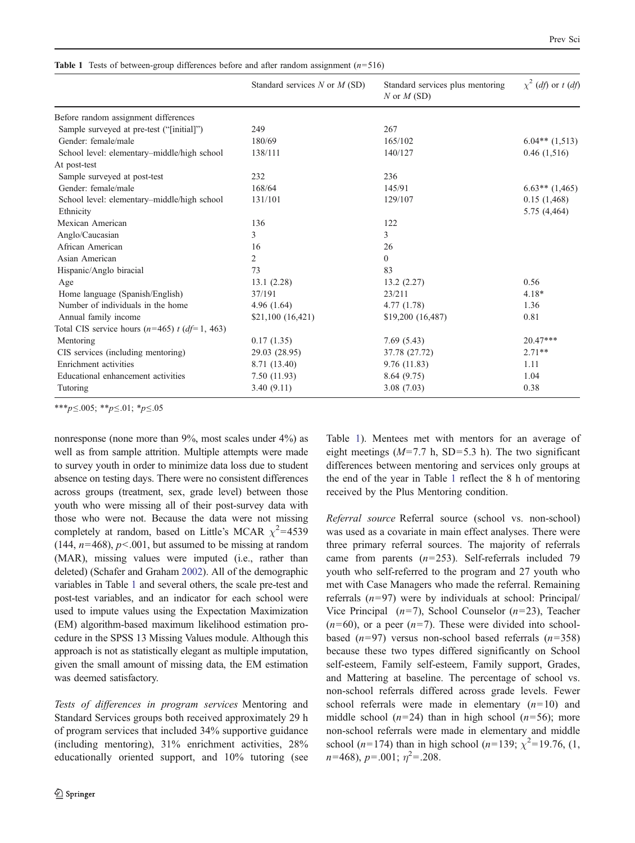<span id="page-7-0"></span>**Table 1** Tests of between-group differences before and after random assignment  $(n=516)$ 

|                                                   | Standard services $N$ or $M$ (SD) | Standard services plus mentoring<br>N or $M(SD)$ | $\chi^2$ (df) or t (df) |
|---------------------------------------------------|-----------------------------------|--------------------------------------------------|-------------------------|
| Before random assignment differences              |                                   |                                                  |                         |
| Sample surveyed at pre-test ("[initial]")         | 249                               | 267                                              |                         |
| Gender: female/male                               | 180/69                            | 165/102                                          | $6.04**$ $(1,513)$      |
| School level: elementary-middle/high school       | 138/111                           | 140/127                                          | 0.46(1,516)             |
| At post-test                                      |                                   |                                                  |                         |
| Sample surveyed at post-test                      | 232                               | 236                                              |                         |
| Gender: female/male                               | 168/64                            | 145/91                                           | $6.63**$ $(1,465)$      |
| School level: elementary-middle/high school       | 131/101                           | 129/107                                          | 0.15(1,468)             |
| Ethnicity                                         |                                   |                                                  | 5.75 (4,464)            |
| Mexican American                                  | 136                               | 122                                              |                         |
| Anglo/Caucasian                                   | 3                                 | 3                                                |                         |
| African American                                  | 16                                | 26                                               |                         |
| Asian American                                    | 2                                 | $\Omega$                                         |                         |
| Hispanic/Anglo biracial                           | 73                                | 83                                               |                         |
| Age                                               | 13.1(2.28)                        | 13.2(2.27)                                       | 0.56                    |
| Home language (Spanish/English)                   | 37/191                            | 23/211                                           | $4.18*$                 |
| Number of individuals in the home                 | 4.96(1.64)                        | 4.77(1.78)                                       | 1.36                    |
| Annual family income                              | \$21,100 (16,421)                 | \$19,200 (16,487)                                | 0.81                    |
| Total CIS service hours $(n=465)$ t $(df=1, 463)$ |                                   |                                                  |                         |
| Mentoring                                         | 0.17(1.35)                        | 7.69(5.43)                                       | $20.47***$              |
| CIS services (including mentoring)                | 29.03 (28.95)                     | 37.78 (27.72)                                    | $2.71**$                |
| Enrichment activities                             | 8.71 (13.40)                      | 9.76(11.83)                                      | 1.11                    |
| Educational enhancement activities                | 7.50(11.93)                       | 8.64(9.75)                                       | 1.04                    |
| Tutoring                                          | 3.40(9.11)                        | 3.08(7.03)                                       | 0.38                    |

 $***p\leq.005; **p\leq.01; *p\leq.05$ 

nonresponse (none more than 9%, most scales under 4%) as well as from sample attrition. Multiple attempts were made to survey youth in order to minimize data loss due to student absence on testing days. There were no consistent differences across groups (treatment, sex, grade level) between those youth who were missing all of their post-survey data with those who were not. Because the data were not missing completely at random, based on Little's MCAR  $\chi^2$ =4539 (144,  $n=468$ ),  $p<.001$ , but assumed to be missing at random (MAR), missing values were imputed (i.e., rather than deleted) (Schafer and Graham [2002](#page-14-0)). All of the demographic variables in Table 1 and several others, the scale pre-test and post-test variables, and an indicator for each school were used to impute values using the Expectation Maximization (EM) algorithm-based maximum likelihood estimation procedure in the SPSS 13 Missing Values module. Although this approach is not as statistically elegant as multiple imputation, given the small amount of missing data, the EM estimation was deemed satisfactory.

Tests of differences in program services Mentoring and Standard Services groups both received approximately 29 h of program services that included 34% supportive guidance (including mentoring), 31% enrichment activities, 28% educationally oriented support, and 10% tutoring (see Table 1). Mentees met with mentors for an average of eight meetings  $(M=7.7 \text{ h}, SD=5.3 \text{ h})$ . The two significant differences between mentoring and services only groups at the end of the year in Table 1 reflect the 8 h of mentoring received by the Plus Mentoring condition.

Referral source Referral source (school vs. non-school) was used as a covariate in main effect analyses. There were three primary referral sources. The majority of referrals came from parents  $(n=253)$ . Self-referrals included 79 youth who self-referred to the program and 27 youth who met with Case Managers who made the referral. Remaining referrals  $(n=97)$  were by individuals at school: Principal/ Vice Principal  $(n=7)$ , School Counselor  $(n=23)$ , Teacher  $(n=60)$ , or a peer  $(n=7)$ . These were divided into schoolbased ( $n=97$ ) versus non-school based referrals ( $n=358$ ) because these two types differed significantly on School self-esteem, Family self-esteem, Family support, Grades, and Mattering at baseline. The percentage of school vs. non-school referrals differed across grade levels. Fewer school referrals were made in elementary  $(n=10)$  and middle school  $(n=24)$  than in high school  $(n=56)$ ; more non-school referrals were made in elementary and middle school (n=174) than in high school (n=139;  $\chi^2$ =19.76, (1,  $n=468$ ),  $p=.001$ ;  $\eta^2=.208$ .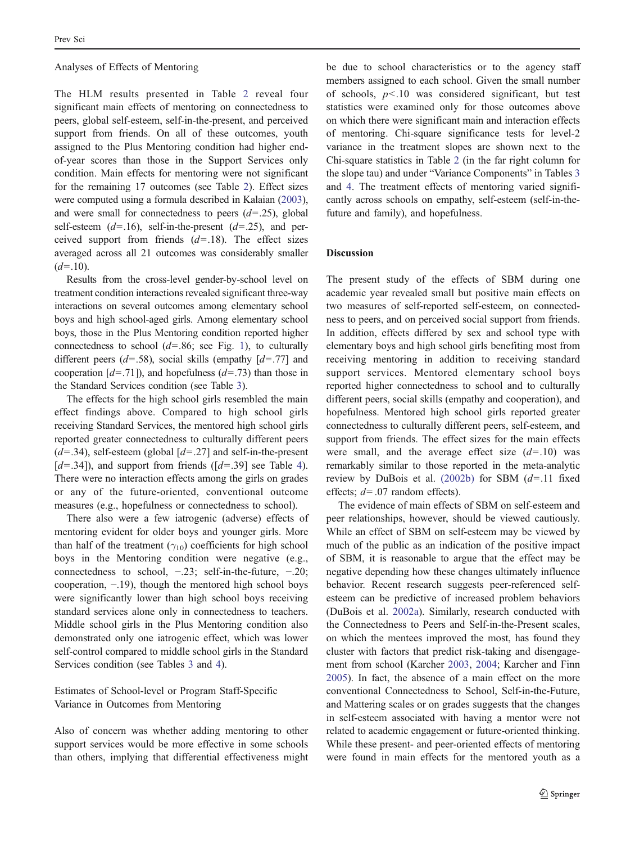#### Analyses of Effects of Mentoring

The HLM results presented in Table [2](#page-9-0) reveal four significant main effects of mentoring on connectedness to peers, global self-esteem, self-in-the-present, and perceived support from friends. On all of these outcomes, youth assigned to the Plus Mentoring condition had higher endof-year scores than those in the Support Services only condition. Main effects for mentoring were not significant for the remaining 17 outcomes (see Table [2](#page-9-0)). Effect sizes were computed using a formula described in Kalaian [\(2003\)](#page-13-0), and were small for connectedness to peers  $(d=0.25)$ , global self-esteem  $(d=16)$ , self-in-the-present  $(d=25)$ , and perceived support from friends  $(d=18)$ . The effect sizes averaged across all 21 outcomes was considerably smaller  $(d=.10)$ .

Results from the cross-level gender-by-school level on treatment condition interactions revealed significant three-way interactions on several outcomes among elementary school boys and high school-aged girls. Among elementary school boys, those in the Plus Mentoring condition reported higher connectedness to school  $(d=86; \text{ see Fig. 1}),$  to culturally different peers ( $d=58$ ), social skills (empathy  $[d=.77]$  and cooperation  $[d=0.71]$ , and hopefulness  $(d=0.73)$  than those in the Standard Services condition (see Table [3\)](#page-11-0).

The effects for the high school girls resembled the main effect findings above. Compared to high school girls receiving Standard Services, the mentored high school girls reported greater connectedness to culturally different peers  $(d=0.34)$ , self-esteem (global  $[d=0.27]$  and self-in-the-present  $[d=.34]$  $[d=.34]$  $[d=.34]$ , and support from friends  $([d=.39]$  see Table 4). There were no interaction effects among the girls on grades or any of the future-oriented, conventional outcome measures (e.g., hopefulness or connectedness to school).

There also were a few iatrogenic (adverse) effects of mentoring evident for older boys and younger girls. More than half of the treatment ( $\gamma_{10}$ ) coefficients for high school boys in the Mentoring condition were negative (e.g., connectedness to school, −.23; self-in-the-future, −.20; cooperation, −.19), though the mentored high school boys were significantly lower than high school boys receiving standard services alone only in connectedness to teachers. Middle school girls in the Plus Mentoring condition also demonstrated only one iatrogenic effect, which was lower self-control compared to middle school girls in the Standard Services condition (see Tables [3](#page-11-0) and [4](#page-11-0)).

# Estimates of School-level or Program Staff-Specific Variance in Outcomes from Mentoring

Also of concern was whether adding mentoring to other support services would be more effective in some schools than others, implying that differential effectiveness might

be due to school characteristics or to the agency staff members assigned to each school. Given the small number of schools,  $p<10$  was considered significant, but test statistics were examined only for those outcomes above on which there were significant main and interaction effects of mentoring. Chi-square significance tests for level-2 variance in the treatment slopes are shown next to the Chi-square statistics in Table [2](#page-9-0) (in the far right column for the slope tau) and under "Variance Components" in Tables [3](#page-11-0) and [4.](#page-11-0) The treatment effects of mentoring varied significantly across schools on empathy, self-esteem (self-in-thefuture and family), and hopefulness.

# Discussion

The present study of the effects of SBM during one academic year revealed small but positive main effects on two measures of self-reported self-esteem, on connectedness to peers, and on perceived social support from friends. In addition, effects differed by sex and school type with elementary boys and high school girls benefiting most from receiving mentoring in addition to receiving standard support services. Mentored elementary school boys reported higher connectedness to school and to culturally different peers, social skills (empathy and cooperation), and hopefulness. Mentored high school girls reported greater connectedness to culturally different peers, self-esteem, and support from friends. The effect sizes for the main effects were small, and the average effect size  $(d=10)$  was remarkably similar to those reported in the meta-analytic review by DuBois et al. [\(2002b\)](#page-13-0) for SBM  $(d=11$  fixed effects;  $d=0.07$  random effects).

The evidence of main effects of SBM on self-esteem and peer relationships, however, should be viewed cautiously. While an effect of SBM on self-esteem may be viewed by much of the public as an indication of the positive impact of SBM, it is reasonable to argue that the effect may be negative depending how these changes ultimately influence behavior. Recent research suggests peer-referenced selfesteem can be predictive of increased problem behaviors (DuBois et al. [2002a\)](#page-13-0). Similarly, research conducted with the Connectedness to Peers and Self-in-the-Present scales, on which the mentees improved the most, has found they cluster with factors that predict risk-taking and disengagement from school (Karcher [2003](#page-14-0), [2004](#page-14-0); Karcher and Finn [2005](#page-14-0)). In fact, the absence of a main effect on the more conventional Connectedness to School, Self-in-the-Future, and Mattering scales or on grades suggests that the changes in self-esteem associated with having a mentor were not related to academic engagement or future-oriented thinking. While these present- and peer-oriented effects of mentoring were found in main effects for the mentored youth as a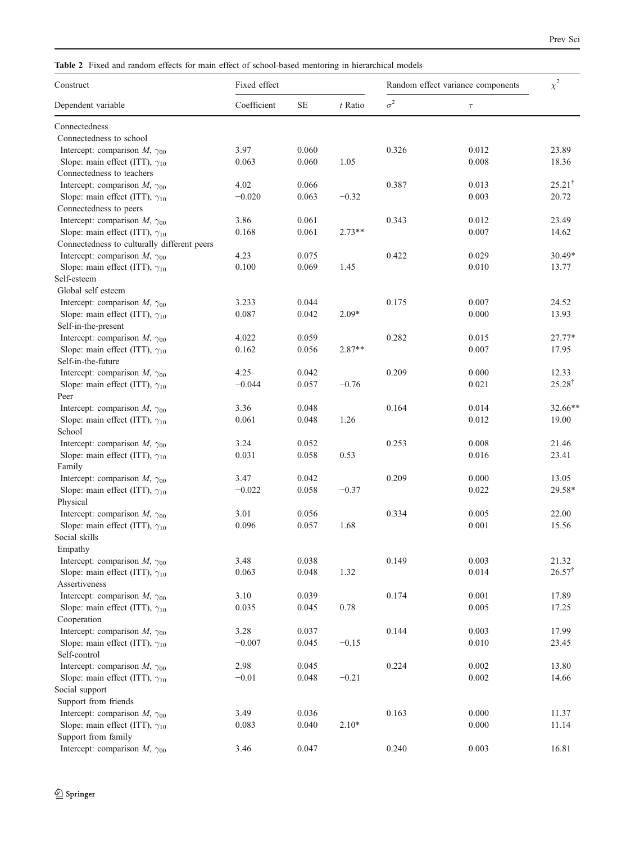<span id="page-9-0"></span>Table 2 Fixed and random effects for main effect of school-based mentoring in hierarchical models

| Construct                                   | Fixed effect |           |           | Random effect variance components | $\chi^2$ |                   |
|---------------------------------------------|--------------|-----------|-----------|-----------------------------------|----------|-------------------|
| Dependent variable                          | Coefficient  | <b>SE</b> | $t$ Ratio | $\sigma^2$                        | $\tau$   |                   |
| Connectedness                               |              |           |           |                                   |          |                   |
| Connectedness to school                     |              |           |           |                                   |          |                   |
| Intercept: comparison $M$ , $\gamma_{00}$   | 3.97         | 0.060     |           | 0.326                             | 0.012    | 23.89             |
| Slope: main effect (ITT), $\gamma_{10}$     | 0.063        | 0.060     | 1.05      |                                   | 0.008    | 18.36             |
| Connectedness to teachers                   |              |           |           |                                   |          |                   |
| Intercept: comparison M, $\gamma_{00}$      | 4.02         | 0.066     |           | 0.387                             | 0.013    | $25.21^{\dagger}$ |
| Slope: main effect (ITT), $\gamma_{10}$     | $-0.020$     | 0.063     | $-0.32$   |                                   | 0.003    | 20.72             |
| Connectedness to peers                      |              |           |           |                                   |          |                   |
| Intercept: comparison $M$ , $\gamma_{00}$   | 3.86         | 0.061     |           | 0.343                             | 0.012    | 23.49             |
| Slope: main effect (ITT), $\gamma_{10}$     | 0.168        | 0.061     | $2.73**$  |                                   | 0.007    | 14.62             |
| Connectedness to culturally different peers |              |           |           |                                   |          |                   |
| Intercept: comparison M, $\gamma_{00}$      | 4.23         | 0.075     |           | 0.422                             | 0.029    | 30.49*            |
| Slope: main effect (ITT), $\gamma_{10}$     | 0.100        | 0.069     | 1.45      |                                   | 0.010    | 13.77             |
| Self-esteem                                 |              |           |           |                                   |          |                   |
| Global self esteem                          |              |           |           |                                   |          |                   |
| Intercept: comparison $M$ , $\gamma_{00}$   | 3.233        | 0.044     |           | 0.175                             | 0.007    | 24.52             |
| Slope: main effect (ITT), $\gamma_{10}$     | 0.087        | 0.042     | $2.09*$   |                                   | 0.000    | 13.93             |
| Self-in-the-present                         |              |           |           |                                   |          |                   |
| Intercept: comparison $M$ , $\gamma_{00}$   | 4.022        | 0.059     |           | 0.282                             | 0.015    | $27.77*$          |
| Slope: main effect (ITT), $\gamma_{10}$     | 0.162        | 0.056     | 2.87**    |                                   | 0.007    | 17.95             |
| Self-in-the-future                          |              |           |           |                                   |          |                   |
| Intercept: comparison $M$ , $\gamma_{00}$   | 4.25         | 0.042     |           | 0.209                             | 0.000    | 12.33             |
| Slope: main effect (ITT), $\gamma_{10}$     | $-0.044$     | 0.057     | $-0.76$   |                                   | 0.021    | $25.28^{\dagger}$ |
| Peer                                        |              |           |           |                                   |          |                   |
| Intercept: comparison $M$ , $\gamma_{00}$   | 3.36         | 0.048     |           | 0.164                             | 0.014    | 32.66**           |
| Slope: main effect (ITT), $\gamma_{10}$     | 0.061        | 0.048     | 1.26      |                                   | 0.012    | 19.00             |
| School                                      |              |           |           |                                   |          |                   |
| Intercept: comparison $M$ , $\gamma_{00}$   | 3.24         | 0.052     |           | 0.253                             | 0.008    | 21.46             |
| Slope: main effect (ITT), $\gamma_{10}$     | 0.031        | 0.058     | 0.53      |                                   | 0.016    | 23.41             |
| Family                                      |              |           |           |                                   |          |                   |
| Intercept: comparison $M$ , $\gamma_{00}$   | 3.47         | 0.042     |           | 0.209                             | 0.000    | 13.05             |
| Slope: main effect (ITT), $\gamma_{10}$     | $-0.022$     | 0.058     | $-0.37$   |                                   | 0.022    | 29.58*            |
| Physical                                    |              |           |           |                                   |          |                   |
| Intercept: comparison $M$ , $\gamma_{00}$   | 3.01         | 0.056     |           | 0.334                             | 0.005    | 22.00             |
| Slope: main effect (ITT), $\gamma_{10}$     | 0.096        | 0.057     | 1.68      |                                   | 0.001    | 15.56             |
| Social skills                               |              |           |           |                                   |          |                   |
| Empathy                                     |              |           |           |                                   |          |                   |
| Intercept: comparison $M$ , $\gamma_{00}$   | 3.48         | 0.038     |           | 0.149                             | 0.003    | 21.32             |
| Slope: main effect (ITT), $\gamma_{10}$     | 0.063        | 0.048     | 1.32      |                                   | 0.014    | $26.57^{\dagger}$ |
| Assertiveness                               |              |           |           |                                   |          |                   |
| Intercept: comparison $M$ , $\gamma_{00}$   | 3.10         | 0.039     |           | 0.174                             | 0.001    | 17.89             |
| Slope: main effect (ITT), $\gamma_{10}$     | 0.035        | 0.045     | 0.78      |                                   | 0.005    | 17.25             |
| Cooperation                                 |              |           |           |                                   |          |                   |
| Intercept: comparison $M$ , $\gamma_{00}$   | 3.28         | 0.037     |           | 0.144                             | 0.003    | 17.99             |
| Slope: main effect (ITT), $\gamma_{10}$     | $-0.007$     | 0.045     | $-0.15$   |                                   | 0.010    | 23.45             |
| Self-control                                |              |           |           |                                   |          |                   |
| Intercept: comparison $M$ , $\gamma_{00}$   | 2.98         | 0.045     |           | 0.224                             | 0.002    | 13.80             |
| Slope: main effect (ITT), $\gamma_{10}$     | $-0.01$      | 0.048     | $-0.21$   |                                   | 0.002    | 14.66             |
| Social support                              |              |           |           |                                   |          |                   |
| Support from friends                        |              |           |           |                                   |          |                   |
| Intercept: comparison $M$ , $\gamma_{00}$   | 3.49         | 0.036     |           | 0.163                             | 0.000    | 11.37             |
| Slope: main effect (ITT), $\gamma_{10}$     | 0.083        | 0.040     | $2.10*$   |                                   | 0.000    | 11.14             |
| Support from family                         |              |           |           |                                   |          |                   |
| Intercept: comparison $M$ , $\gamma_{00}$   | 3.46         | 0.047     |           | 0.240                             | 0.003    | 16.81             |
|                                             |              |           |           |                                   |          |                   |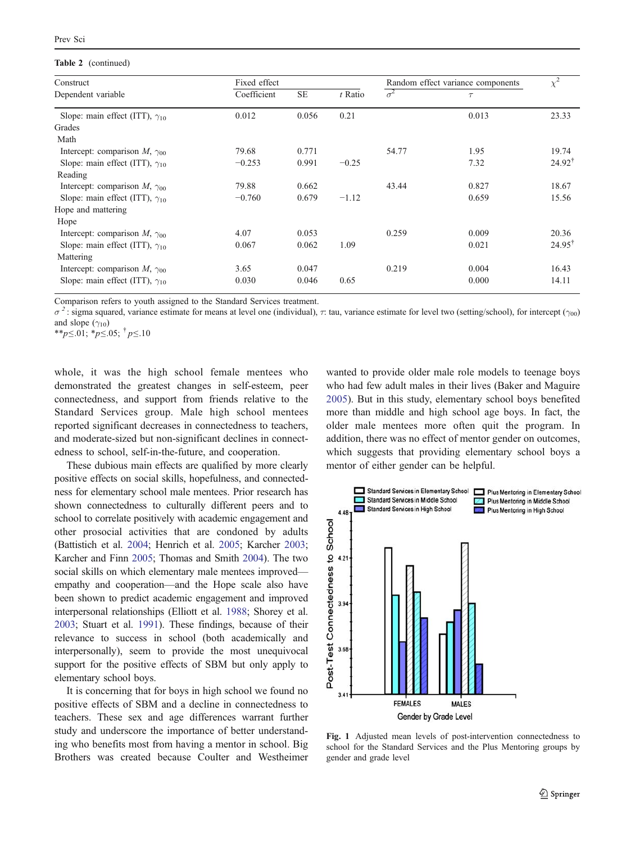#### <span id="page-10-0"></span>Table 2 (continued)

| Construct                               | Fixed effect |           |           | Random effect variance components | $\chi^2$ |                   |
|-----------------------------------------|--------------|-----------|-----------|-----------------------------------|----------|-------------------|
| Dependent variable                      | Coefficient  | <b>SE</b> | $t$ Ratio | $\sigma^2$                        | $\tau$   |                   |
| Slope: main effect (ITT), $\gamma_{10}$ | 0.012        | 0.056     | 0.21      |                                   | 0.013    | 23.33             |
| Grades                                  |              |           |           |                                   |          |                   |
| Math                                    |              |           |           |                                   |          |                   |
| Intercept: comparison M, $\gamma_{00}$  | 79.68        | 0.771     |           | 54.77                             | 1.95     | 19.74             |
| Slope: main effect (ITT), $\gamma_{10}$ | $-0.253$     | 0.991     | $-0.25$   |                                   | 7.32     | $24.92^{\dagger}$ |
| Reading                                 |              |           |           |                                   |          |                   |
| Intercept: comparison M, $\gamma_{00}$  | 79.88        | 0.662     |           | 43.44                             | 0.827    | 18.67             |
| Slope: main effect (ITT), $\gamma_{10}$ | $-0.760$     | 0.679     | $-1.12$   |                                   | 0.659    | 15.56             |
| Hope and mattering                      |              |           |           |                                   |          |                   |
| Hope                                    |              |           |           |                                   |          |                   |
| Intercept: comparison M, $\gamma_{00}$  | 4.07         | 0.053     |           | 0.259                             | 0.009    | 20.36             |
| Slope: main effect (ITT), $\gamma_{10}$ | 0.067        | 0.062     | 1.09      |                                   | 0.021    | $24.95^{\dagger}$ |
| Mattering                               |              |           |           |                                   |          |                   |
| Intercept: comparison M, $\gamma_{00}$  | 3.65         | 0.047     |           | 0.219                             | 0.004    | 16.43             |
| Slope: main effect (ITT), $\gamma_{10}$ | 0.030        | 0.046     | 0.65      |                                   | 0.000    | 14.11             |

Comparison refers to youth assigned to the Standard Services treatment.

 $\sigma^2$ : sigma squared, variance estimate for means at level one (individual),  $\tau$  tau, variance estimate for level two (setting/school), for intercept (γ<sub>00</sub>) and slope  $(\gamma_{10})$ 

\*\* $p$ ≤.01; \* $p$ ≤.05; <sup>†</sup>  $p$ ≤.10

whole, it was the high school female mentees who demonstrated the greatest changes in self-esteem, peer connectedness, and support from friends relative to the Standard Services group. Male high school mentees reported significant decreases in connectedness to teachers, and moderate-sized but non-significant declines in connectedness to school, self-in-the-future, and cooperation.

These dubious main effects are qualified by more clearly positive effects on social skills, hopefulness, and connectedness for elementary school male mentees. Prior research has shown connectedness to culturally different peers and to school to correlate positively with academic engagement and other prosocial activities that are condoned by adults (Battistich et al. [2004](#page-13-0); Henrich et al. [2005;](#page-13-0) Karcher [2003](#page-14-0); Karcher and Finn [2005](#page-14-0); Thomas and Smith [2004](#page-14-0)). The two social skills on which elementary male mentees improved empathy and cooperation—and the Hope scale also have been shown to predict academic engagement and improved interpersonal relationships (Elliott et al. [1988;](#page-13-0) Shorey et al. [2003;](#page-14-0) Stuart et al. [1991\)](#page-14-0). These findings, because of their relevance to success in school (both academically and interpersonally), seem to provide the most unequivocal support for the positive effects of SBM but only apply to elementary school boys.

It is concerning that for boys in high school we found no positive effects of SBM and a decline in connectedness to teachers. These sex and age differences warrant further study and underscore the importance of better understanding who benefits most from having a mentor in school. Big Brothers was created because Coulter and Westheimer wanted to provide older male role models to teenage boys who had few adult males in their lives (Baker and Maguire [2005](#page-13-0)). But in this study, elementary school boys benefited more than middle and high school age boys. In fact, the older male mentees more often quit the program. In addition, there was no effect of mentor gender on outcomes, which suggests that providing elementary school boys a mentor of either gender can be helpful.



Fig. 1 Adjusted mean levels of post-intervention connectedness to school for the Standard Services and the Plus Mentoring groups by gender and grade level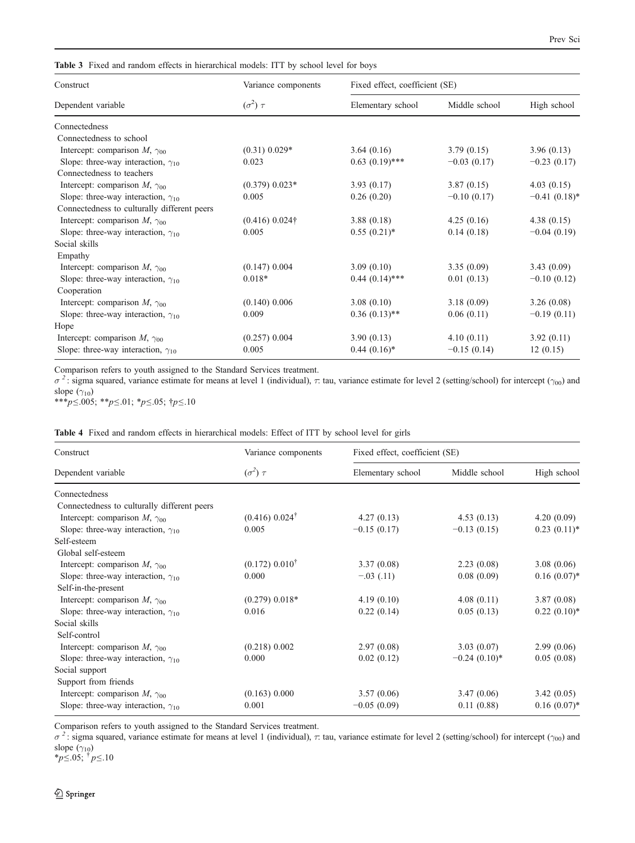<span id="page-11-0"></span>Table 3 Fixed and random effects in hierarchical models: ITT by school level for boys

| Construct                                   | Variance components |                     | Fixed effect, coefficient (SE) |                 |  |  |  |  |
|---------------------------------------------|---------------------|---------------------|--------------------------------|-----------------|--|--|--|--|
| Dependent variable                          | $(\sigma^2)$ $\tau$ | Elementary school   | Middle school                  | High school     |  |  |  |  |
| Connectedness                               |                     |                     |                                |                 |  |  |  |  |
| Connectedness to school                     |                     |                     |                                |                 |  |  |  |  |
| Intercept: comparison $M$ , $\gamma_{00}$   | $(0.31) 0.029*$     | 3.64(0.16)          | 3.79(0.15)                     | 3.96(0.13)      |  |  |  |  |
| Slope: three-way interaction, $\gamma_{10}$ | 0.023               | $0.63$ $(0.19)$ *** | $-0.03(0.17)$                  | $-0.23(0.17)$   |  |  |  |  |
| Connectedness to teachers                   |                     |                     |                                |                 |  |  |  |  |
| Intercept: comparison $M$ , $\gamma_{00}$   | $(0.379)$ 0.023*    | 3.93(0.17)          | 3.87(0.15)                     | 4.03(0.15)      |  |  |  |  |
| Slope: three-way interaction, $\gamma_{10}$ | 0.005               | 0.26(0.20)          | $-0.10(0.17)$                  | $-0.41(0.18)$ * |  |  |  |  |
| Connectedness to culturally different peers |                     |                     |                                |                 |  |  |  |  |
| Intercept: comparison M, $\gamma_{00}$      | $(0.416)$ 0.024†    | 3.88(0.18)          | 4.25(0.16)                     | 4.38(0.15)      |  |  |  |  |
| Slope: three-way interaction, $\gamma_{10}$ | 0.005               | $0.55(0.21)^*$      | 0.14(0.18)                     | $-0.04(0.19)$   |  |  |  |  |
| Social skills                               |                     |                     |                                |                 |  |  |  |  |
| Empathy                                     |                     |                     |                                |                 |  |  |  |  |
| Intercept: comparison M, $\gamma_{00}$      | $(0.147)$ 0.004     | 3.09(0.10)          | 3.35(0.09)                     | 3.43(0.09)      |  |  |  |  |
| Slope: three-way interaction, $\gamma_{10}$ | $0.018*$            | $0.44$ $(0.14)$ *** | 0.01(0.13)                     | $-0.10(0.12)$   |  |  |  |  |
| Cooperation                                 |                     |                     |                                |                 |  |  |  |  |
| Intercept: comparison $M$ , $\gamma_{00}$   | $(0.140)$ 0.006     | 3.08(0.10)          | 3.18(0.09)                     | 3.26(0.08)      |  |  |  |  |
| Slope: three-way interaction, $\gamma_{10}$ | 0.009               | $0.36(0.13)$ **     | 0.06(0.11)                     | $-0.19(0.11)$   |  |  |  |  |
| Hope                                        |                     |                     |                                |                 |  |  |  |  |
| Intercept: comparison M, $\gamma_{00}$      | (0.257) 0.004       | 3.90(0.13)          | 4.10(0.11)                     | 3.92(0.11)      |  |  |  |  |
| Slope: three-way interaction, $\gamma_{10}$ | 0.005               | $0.44~(0.16)*$      | $-0.15(0.14)$                  | 12(0.15)        |  |  |  |  |

Comparison refers to youth assigned to the Standard Services treatment.

 $\sigma^2$ : sigma squared, variance estimate for means at level 1 (individual),  $\tau$  tau, variance estimate for level 2 (setting/school) for intercept ( $\gamma_{00}$ ) and slope  $(\gamma_{10})$ 

\*\*\*p≤.005; \*\*p≤.01; \*p≤.05; †p≤.10

|  |  |  |  |  | Table 4 Fixed and random effects in hierarchical models: Effect of ITT by school level for girls |  |  |  |  |  |  |  |  |
|--|--|--|--|--|--------------------------------------------------------------------------------------------------|--|--|--|--|--|--|--|--|
|--|--|--|--|--|--------------------------------------------------------------------------------------------------|--|--|--|--|--|--|--|--|

| Construct                                   | Variance components       | Fixed effect, coefficient (SE) |                |                |  |  |  |
|---------------------------------------------|---------------------------|--------------------------------|----------------|----------------|--|--|--|
| Dependent variable                          | $(\sigma^2)$ $\tau$       | Elementary school              | Middle school  | High school    |  |  |  |
| Connectedness                               |                           |                                |                |                |  |  |  |
| Connectedness to culturally different peers |                           |                                |                |                |  |  |  |
| Intercept: comparison M, $\gamma_{00}$      | $(0.416) 0.024^{\dagger}$ | 4.27(0.13)                     | 4.53(0.13)     | 4.20(0.09)     |  |  |  |
| Slope: three-way interaction, $\gamma_{10}$ | 0.005                     | $-0.15(0.17)$                  | $-0.13(0.15)$  | $0.23(0.11)*$  |  |  |  |
| Self-esteem                                 |                           |                                |                |                |  |  |  |
| Global self-esteem                          |                           |                                |                |                |  |  |  |
| Intercept: comparison M, $\gamma_{00}$      | $(0.172) 0.010^{\dagger}$ | 3.37(0.08)                     | 2.23(0.08)     | 3.08(0.06)     |  |  |  |
| Slope: three-way interaction, $\gamma_{10}$ | 0.000                     | $-.03$ (.11)                   | 0.08(0.09)     | $0.16(0.07)^*$ |  |  |  |
| Self-in-the-present                         |                           |                                |                |                |  |  |  |
| Intercept: comparison M, $\gamma_{00}$      | $(0.279)$ 0.018*          | 4.19(0.10)                     | 4.08(0.11)     | 3.87(0.08)     |  |  |  |
| Slope: three-way interaction, $\gamma_{10}$ | 0.016                     | 0.22(0.14)                     | 0.05(0.13)     | $0.22(0.10)*$  |  |  |  |
| Social skills                               |                           |                                |                |                |  |  |  |
| Self-control                                |                           |                                |                |                |  |  |  |
| Intercept: comparison M, $\gamma_{00}$      | (0.218) 0.002             | 2.97(0.08)                     | 3.03(0.07)     | 2.99(0.06)     |  |  |  |
| Slope: three-way interaction, $\gamma_{10}$ | 0.000                     | 0.02(0.12)                     | $-0.24(0.10)*$ | 0.05(0.08)     |  |  |  |
| Social support                              |                           |                                |                |                |  |  |  |
| Support from friends                        |                           |                                |                |                |  |  |  |
| Intercept: comparison M, $\gamma_{00}$      | (0.163) 0.000             | 3.57(0.06)                     | 3.47(0.06)     | 3.42(0.05)     |  |  |  |
| Slope: three-way interaction, $\gamma_{10}$ | 0.001                     | $-0.05(0.09)$                  | 0.11(0.88)     | $0.16(0.07)^*$ |  |  |  |

Comparison refers to youth assigned to the Standard Services treatment.

 $\sigma^2$ : sigma squared, variance estimate for means at level 1 (individual),  $\tau$ : tau, variance estimate for level 2 (setting/school) for intercept ( $\gamma_{00}$ ) and

slope ( $\gamma_{10}$ )<br>\* $p \le 0.05$ ; <sup>†</sup> $p \le 0.10$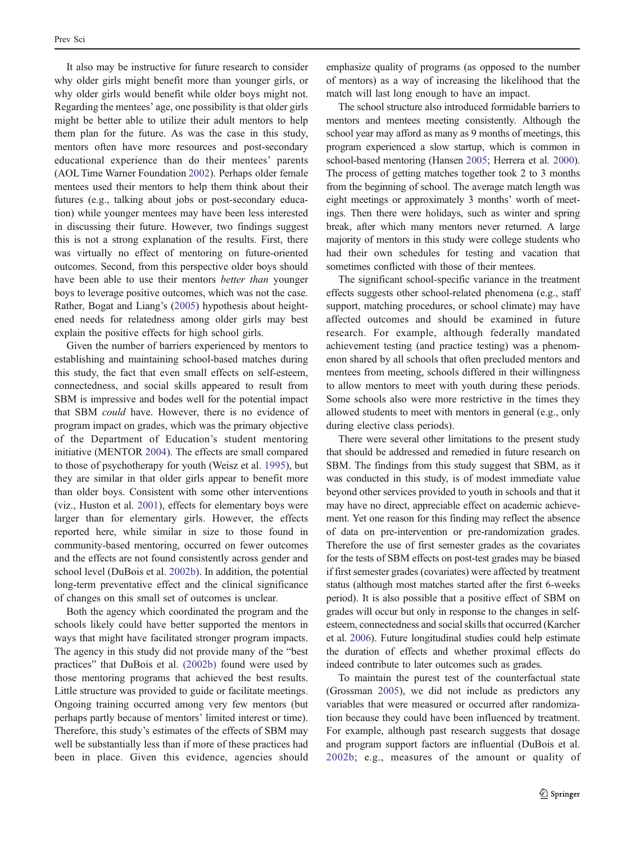It also may be instructive for future research to consider why older girls might benefit more than younger girls, or why older girls would benefit while older boys might not. Regarding the mentees' age, one possibility is that older girls might be better able to utilize their adult mentors to help them plan for the future. As was the case in this study, mentors often have more resources and post-secondary educational experience than do their mentees' parents (AOL Time Warner Foundation [2002\)](#page-13-0). Perhaps older female mentees used their mentors to help them think about their futures (e.g., talking about jobs or post-secondary education) while younger mentees may have been less interested in discussing their future. However, two findings suggest this is not a strong explanation of the results. First, there was virtually no effect of mentoring on future-oriented outcomes. Second, from this perspective older boys should have been able to use their mentors better than younger boys to leverage positive outcomes, which was not the case. Rather, Bogat and Liang's ([2005\)](#page-13-0) hypothesis about heightened needs for relatedness among older girls may best explain the positive effects for high school girls.

Given the number of barriers experienced by mentors to establishing and maintaining school-based matches during this study, the fact that even small effects on self-esteem, connectedness, and social skills appeared to result from SBM is impressive and bodes well for the potential impact that SBM could have. However, there is no evidence of program impact on grades, which was the primary objective of the Department of Education's student mentoring initiative (MENTOR [2004](#page-14-0)). The effects are small compared to those of psychotherapy for youth (Weisz et al. [1995](#page-14-0)), but they are similar in that older girls appear to benefit more than older boys. Consistent with some other interventions (viz., Huston et al. [2001\)](#page-13-0), effects for elementary boys were larger than for elementary girls. However, the effects reported here, while similar in size to those found in community-based mentoring, occurred on fewer outcomes and the effects are not found consistently across gender and school level (DuBois et al. [2002b\)](#page-13-0). In addition, the potential long-term preventative effect and the clinical significance of changes on this small set of outcomes is unclear.

Both the agency which coordinated the program and the schools likely could have better supported the mentors in ways that might have facilitated stronger program impacts. The agency in this study did not provide many of the "best practices" that DuBois et al. [\(2002b\)](#page-13-0) found were used by those mentoring programs that achieved the best results. Little structure was provided to guide or facilitate meetings. Ongoing training occurred among very few mentors (but perhaps partly because of mentors' limited interest or time). Therefore, this study's estimates of the effects of SBM may well be substantially less than if more of these practices had been in place. Given this evidence, agencies should

emphasize quality of programs (as opposed to the number of mentors) as a way of increasing the likelihood that the match will last long enough to have an impact.

The school structure also introduced formidable barriers to mentors and mentees meeting consistently. Although the school year may afford as many as 9 months of meetings, this program experienced a slow startup, which is common in school-based mentoring (Hansen [2005](#page-13-0); Herrera et al. [2000\)](#page-13-0). The process of getting matches together took 2 to 3 months from the beginning of school. The average match length was eight meetings or approximately 3 months' worth of meetings. Then there were holidays, such as winter and spring break, after which many mentors never returned. A large majority of mentors in this study were college students who had their own schedules for testing and vacation that sometimes conflicted with those of their mentees.

The significant school-specific variance in the treatment effects suggests other school-related phenomena (e.g., staff support, matching procedures, or school climate) may have affected outcomes and should be examined in future research. For example, although federally mandated achievement testing (and practice testing) was a phenomenon shared by all schools that often precluded mentors and mentees from meeting, schools differed in their willingness to allow mentors to meet with youth during these periods. Some schools also were more restrictive in the times they allowed students to meet with mentors in general (e.g., only during elective class periods).

There were several other limitations to the present study that should be addressed and remedied in future research on SBM. The findings from this study suggest that SBM, as it was conducted in this study, is of modest immediate value beyond other services provided to youth in schools and that it may have no direct, appreciable effect on academic achievement. Yet one reason for this finding may reflect the absence of data on pre-intervention or pre-randomization grades. Therefore the use of first semester grades as the covariates for the tests of SBM effects on post-test grades may be biased if first semester grades (covariates) were affected by treatment status (although most matches started after the first 6-weeks period). It is also possible that a positive effect of SBM on grades will occur but only in response to the changes in selfesteem, connectedness and social skills that occurred (Karcher et al. [2006\)](#page-14-0). Future longitudinal studies could help estimate the duration of effects and whether proximal effects do indeed contribute to later outcomes such as grades.

To maintain the purest test of the counterfactual state (Grossman [2005\)](#page-13-0), we did not include as predictors any variables that were measured or occurred after randomization because they could have been influenced by treatment. For example, although past research suggests that dosage and program support factors are influential (DuBois et al. [2002b](#page-13-0); e.g., measures of the amount or quality of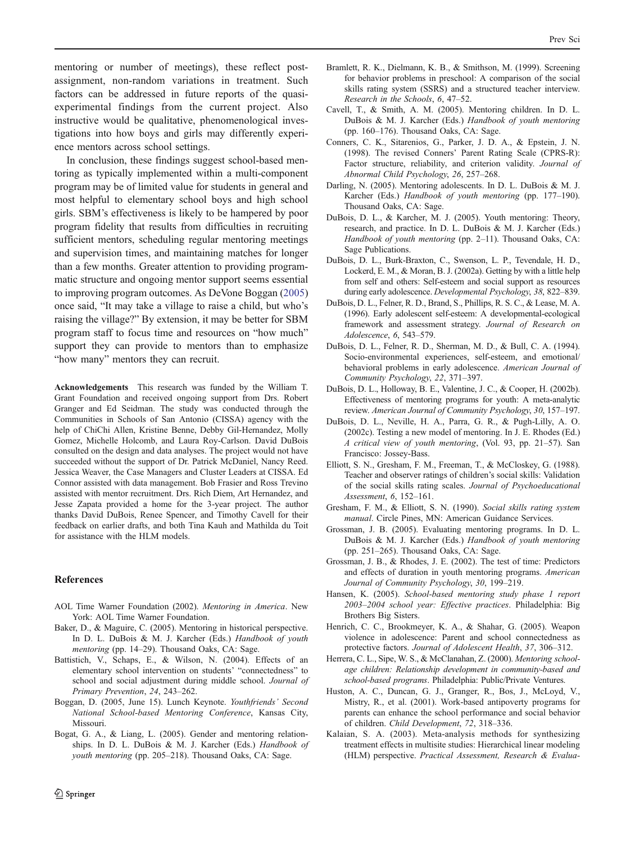<span id="page-13-0"></span>mentoring or number of meetings), these reflect postassignment, non-random variations in treatment. Such factors can be addressed in future reports of the quasiexperimental findings from the current project. Also instructive would be qualitative, phenomenological investigations into how boys and girls may differently experience mentors across school settings.

In conclusion, these findings suggest school-based mentoring as typically implemented within a multi-component program may be of limited value for students in general and most helpful to elementary school boys and high school girls. SBM's effectiveness is likely to be hampered by poor program fidelity that results from difficulties in recruiting sufficient mentors, scheduling regular mentoring meetings and supervision times, and maintaining matches for longer than a few months. Greater attention to providing programmatic structure and ongoing mentor support seems essential to improving program outcomes. As DeVone Boggan (2005) once said, "It may take a village to raise a child, but who's raising the village?" By extension, it may be better for SBM program staff to focus time and resources on "how much" support they can provide to mentors than to emphasize "how many" mentors they can recruit.

Acknowledgements This research was funded by the William T. Grant Foundation and received ongoing support from Drs. Robert Granger and Ed Seidman. The study was conducted through the Communities in Schools of San Antonio (CISSA) agency with the help of ChiChi Allen, Kristine Benne, Debby Gil-Hernandez, Molly Gomez, Michelle Holcomb, and Laura Roy-Carlson. David DuBois consulted on the design and data analyses. The project would not have succeeded without the support of Dr. Patrick McDaniel, Nancy Reed. Jessica Weaver, the Case Managers and Cluster Leaders at CISSA. Ed Connor assisted with data management. Bob Frasier and Ross Trevino assisted with mentor recruitment. Drs. Rich Diem, Art Hernandez, and Jesse Zapata provided a home for the 3-year project. The author thanks David DuBois, Renee Spencer, and Timothy Cavell for their feedback on earlier drafts, and both Tina Kauh and Mathilda du Toit for assistance with the HLM models.

#### References

- AOL Time Warner Foundation (2002). Mentoring in America. New York: AOL Time Warner Foundation.
- Baker, D., & Maguire, C. (2005). Mentoring in historical perspective. In D. L. DuBois & M. J. Karcher (Eds.) Handbook of youth mentoring (pp. 14–29). Thousand Oaks, CA: Sage.
- Battistich, V., Schaps, E., & Wilson, N. (2004). Effects of an elementary school intervention on students' "connectedness" to school and social adjustment during middle school. Journal of Primary Prevention, 24, 243–262.
- Boggan, D. (2005, June 15). Lunch Keynote. Youthfriends' Second National School-based Mentoring Conference, Kansas City, Missouri.
- Bogat, G. A., & Liang, L. (2005). Gender and mentoring relationships. In D. L. DuBois & M. J. Karcher (Eds.) Handbook of youth mentoring (pp. 205–218). Thousand Oaks, CA: Sage.
- Bramlett, R. K., Dielmann, K. B., & Smithson, M. (1999). Screening for behavior problems in preschool: A comparison of the social skills rating system (SSRS) and a structured teacher interview. Research in the Schools, 6, 47–52.
- Cavell, T., & Smith, A. M. (2005). Mentoring children. In D. L. DuBois & M. J. Karcher (Eds.) Handbook of youth mentoring (pp. 160–176). Thousand Oaks, CA: Sage.
- Conners, C. K., Sitarenios, G., Parker, J. D. A., & Epstein, J. N. (1998). The revised Conners' Parent Rating Scale (CPRS-R): Factor structure, reliability, and criterion validity. Journal of Abnormal Child Psychology, 26, 257–268.
- Darling, N. (2005). Mentoring adolescents. In D. L. DuBois & M. J. Karcher (Eds.) Handbook of youth mentoring (pp. 177–190). Thousand Oaks, CA: Sage.
- DuBois, D. L., & Karcher, M. J. (2005). Youth mentoring: Theory, research, and practice. In D. L. DuBois & M. J. Karcher (Eds.) Handbook of youth mentoring (pp. 2–11). Thousand Oaks, CA: Sage Publications.
- DuBois, D. L., Burk-Braxton, C., Swenson, L. P., Tevendale, H. D., Lockerd, E. M., & Moran, B. J. (2002a). Getting by with a little help from self and others: Self-esteem and social support as resources during early adolescence. Developmental Psychology, 38, 822–839.
- DuBois, D. L., Felner, R. D., Brand, S., Phillips, R. S. C., & Lease, M. A. (1996). Early adolescent self-esteem: A developmental-ecological framework and assessment strategy. Journal of Research on Adolescence, 6, 543–579.
- DuBois, D. L., Felner, R. D., Sherman, M. D., & Bull, C. A. (1994). Socio-environmental experiences, self-esteem, and emotional/ behavioral problems in early adolescence. American Journal of Community Psychology, 22, 371–397.
- DuBois, D. L., Holloway, B. E., Valentine, J. C., & Cooper, H. (2002b). Effectiveness of mentoring programs for youth: A meta-analytic review. American Journal of Community Psychology, 30, 157–197.
- DuBois, D. L., Neville, H. A., Parra, G. R., & Pugh-Lilly, A. O. (2002c). Testing a new model of mentoring. In J. E. Rhodes (Ed.) A critical view of youth mentoring, (Vol. 93, pp. 21–57). San Francisco: Jossey-Bass.
- Elliott, S. N., Gresham, F. M., Freeman, T., & McCloskey, G. (1988). Teacher and observer ratings of children's social skills: Validation of the social skills rating scales. Journal of Psychoeducational Assessment, 6, 152–161.
- Gresham, F. M., & Elliott, S. N. (1990). Social skills rating system manual. Circle Pines, MN: American Guidance Services.
- Grossman, J. B. (2005). Evaluating mentoring programs. In D. L. DuBois & M. J. Karcher (Eds.) Handbook of youth mentoring (pp. 251–265). Thousand Oaks, CA: Sage.
- Grossman, J. B., & Rhodes, J. E. (2002). The test of time: Predictors and effects of duration in youth mentoring programs. American Journal of Community Psychology, 30, 199–219.
- Hansen, K. (2005). School-based mentoring study phase 1 report 2003–2004 school year: Effective practices. Philadelphia: Big Brothers Big Sisters.
- Henrich, C. C., Brookmeyer, K. A., & Shahar, G. (2005). Weapon violence in adolescence: Parent and school connectedness as protective factors. Journal of Adolescent Health, 37, 306–312.
- Herrera, C. L., Sipe, W. S., & McClanahan, Z. (2000). Mentoring schoolage children: Relationship development in community-based and school-based programs. Philadelphia: Public/Private Ventures.
- Huston, A. C., Duncan, G. J., Granger, R., Bos, J., McLoyd, V., Mistry, R., et al. (2001). Work-based antipoverty programs for parents can enhance the school performance and social behavior of children. Child Development, 72, 318–336.
- Kalaian, S. A. (2003). Meta-analysis methods for synthesizing treatment effects in multisite studies: Hierarchical linear modeling (HLM) perspective. Practical Assessment, Research & Evalua-